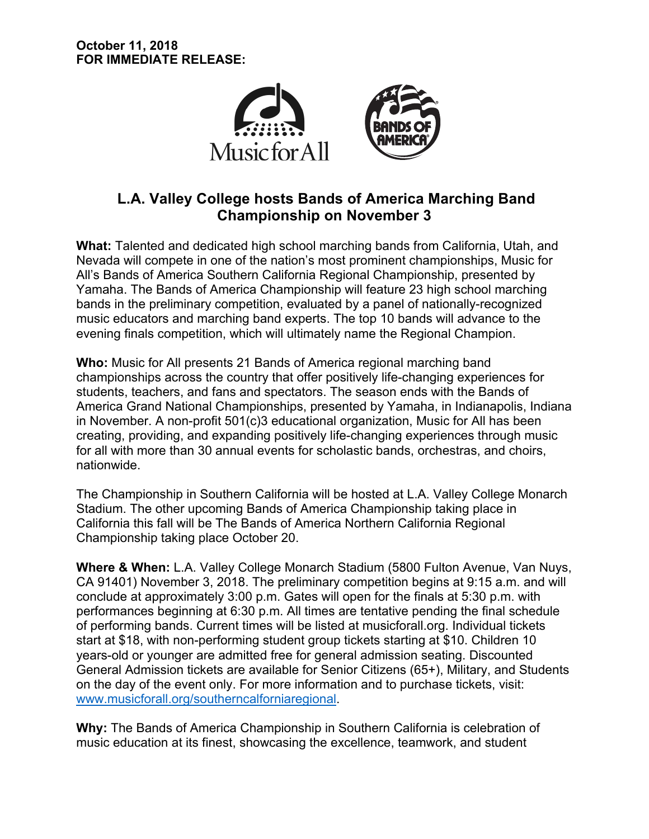

# **L.A. Valley College hosts Bands of America Marching Band Championship on November 3**

**What:** Talented and dedicated high school marching bands from California, Utah, and Nevada will compete in one of the nation's most prominent championships, Music for All's Bands of America Southern California Regional Championship, presented by Yamaha. The Bands of America Championship will feature 23 high school marching bands in the preliminary competition, evaluated by a panel of nationally-recognized music educators and marching band experts. The top 10 bands will advance to the evening finals competition, which will ultimately name the Regional Champion.

**Who:** Music for All presents 21 Bands of America regional marching band championships across the country that offer positively life-changing experiences for students, teachers, and fans and spectators. The season ends with the Bands of America Grand National Championships, presented by Yamaha, in Indianapolis, Indiana in November. A non-profit 501(c)3 educational organization, Music for All has been creating, providing, and expanding positively life-changing experiences through music for all with more than 30 annual events for scholastic bands, orchestras, and choirs, nationwide.

The Championship in Southern California will be hosted at L.A. Valley College Monarch Stadium. The other upcoming Bands of America Championship taking place in California this fall will be The Bands of America Northern California Regional Championship taking place October 20.

**Where & When:** L.A. Valley College Monarch Stadium (5800 Fulton Avenue, Van Nuys, CA 91401) November 3, 2018. The preliminary competition begins at 9:15 a.m. and will conclude at approximately 3:00 p.m. Gates will open for the finals at 5:30 p.m. with performances beginning at 6:30 p.m. All times are tentative pending the final schedule of performing bands. Current times will be listed at musicforall.org. Individual tickets start at \$18, with non-performing student group tickets starting at \$10. Children 10 years-old or younger are admitted free for general admission seating. Discounted General Admission tickets are available for Senior Citizens (65+), Military, and Students on the day of the event only. For more information and to purchase tickets, visit: www.musicforall.org/southerncalforniaregional.

**Why:** The Bands of America Championship in Southern California is celebration of music education at its finest, showcasing the excellence, teamwork, and student